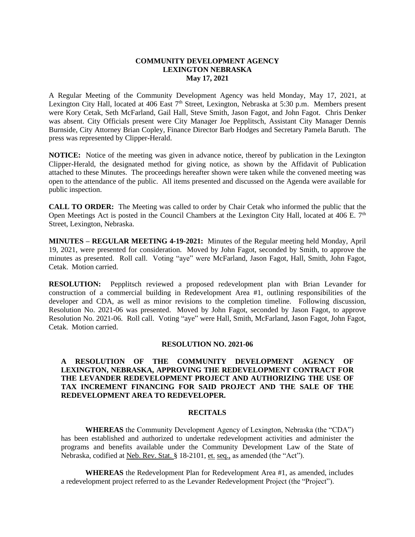## **COMMUNITY DEVELOPMENT AGENCY LEXINGTON NEBRASKA May 17, 2021**

A Regular Meeting of the Community Development Agency was held Monday, May 17, 2021, at Lexington City Hall, located at 406 East 7<sup>th</sup> Street, Lexington, Nebraska at 5:30 p.m. Members present were Kory Cetak, Seth McFarland, Gail Hall, Steve Smith, Jason Fagot, and John Fagot. Chris Denker was absent. City Officials present were City Manager Joe Pepplitsch, Assistant City Manager Dennis Burnside, City Attorney Brian Copley, Finance Director Barb Hodges and Secretary Pamela Baruth. The press was represented by Clipper-Herald.

**NOTICE:** Notice of the meeting was given in advance notice, thereof by publication in the Lexington Clipper-Herald, the designated method for giving notice, as shown by the Affidavit of Publication attached to these Minutes. The proceedings hereafter shown were taken while the convened meeting was open to the attendance of the public. All items presented and discussed on the Agenda were available for public inspection.

**CALL TO ORDER:** The Meeting was called to order by Chair Cetak who informed the public that the Open Meetings Act is posted in the Council Chambers at the Lexington City Hall, located at 406 E.  $7<sup>th</sup>$ Street, Lexington, Nebraska.

**MINUTES – REGULAR MEETING 4-19-2021:** Minutes of the Regular meeting held Monday, April 19, 2021, were presented for consideration. Moved by John Fagot, seconded by Smith, to approve the minutes as presented. Roll call. Voting "aye" were McFarland, Jason Fagot, Hall, Smith, John Fagot, Cetak. Motion carried.

**RESOLUTION:** Pepplitsch reviewed a proposed redevelopment plan with Brian Levander for construction of a commercial building in Redevelopment Area #1, outlining responsibilities of the developer and CDA, as well as minor revisions to the completion timeline. Following discussion, Resolution No. 2021-06 was presented. Moved by John Fagot, seconded by Jason Fagot, to approve Resolution No. 2021-06. Roll call. Voting "aye" were Hall, Smith, McFarland, Jason Fagot, John Fagot, Cetak. Motion carried.

## **RESOLUTION NO. 2021-06**

**A RESOLUTION OF THE COMMUNITY DEVELOPMENT AGENCY OF LEXINGTON, NEBRASKA, APPROVING THE REDEVELOPMENT CONTRACT FOR THE LEVANDER REDEVELOPMENT PROJECT AND AUTHORIZING THE USE OF TAX INCREMENT FINANCING FOR SAID PROJECT AND THE SALE OF THE REDEVELOPMENT AREA TO REDEVELOPER.** 

#### **RECITALS**

**WHEREAS** the Community Development Agency of Lexington, Nebraska (the "CDA") has been established and authorized to undertake redevelopment activities and administer the programs and benefits available under the Community Development Law of the State of Nebraska, codified at Neb. Rev. Stat. § 18-2101, et. seq., as amended (the "Act").

**WHEREAS** the Redevelopment Plan for Redevelopment Area #1, as amended, includes a redevelopment project referred to as the Levander Redevelopment Project (the "Project").